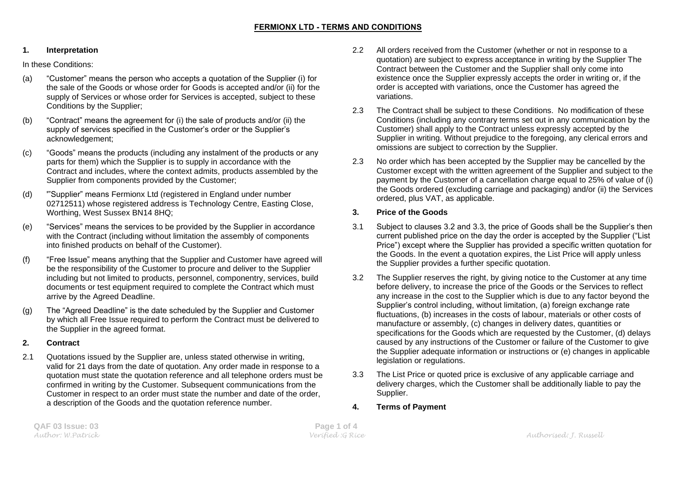#### **1. Interpretation**

In these Conditions:

- (a) "Customer" means the person who accepts a quotation of the Supplier (i) for the sale of the Goods or whose order for Goods is accepted and/or (ii) for the supply of Services or whose order for Services is accepted, subject to these Conditions by the Supplier;
- (b) "Contract" means the agreement for (i) the sale of products and/or (ii) the supply of services specified in the Customer's order or the Supplier's acknowledgement;
- (c) "Goods" means the products (including any instalment of the products or any parts for them) which the Supplier is to supply in accordance with the Contract and includes, where the context admits, products assembled by the Supplier from components provided by the Customer;
- (d) '"Supplier" means Fermionx Ltd (registered in England under number 02712511) whose registered address is Technology Centre, Easting Close, Worthing, West Sussex BN14 8HQ;
- (e) "Services" means the services to be provided by the Supplier in accordance with the Contract (including without limitation the assembly of components into finished products on behalf of the Customer).
- (f) "Free Issue" means anything that the Supplier and Customer have agreed will be the responsibility of the Customer to procure and deliver to the Supplier including but not limited to products, personnel, componentry, services, build documents or test equipment required to complete the Contract which must arrive by the Agreed Deadline.
- (g) The "Agreed Deadline" is the date scheduled by the Supplier and Customer by which all Free Issue required to perform the Contract must be delivered to the Supplier in the agreed format.

## **2. Contract**

2.1 Quotations issued by the Supplier are, unless stated otherwise in writing, valid for 21 days from the date of quotation. Any order made in response to a quotation must state the quotation reference and all telephone orders must be confirmed in writing by the Customer. Subsequent communications from the Customer in respect to an order must state the number and date of the order, a description of the Goods and the quotation reference number.

- 2.2 All orders received from the Customer (whether or not in response to a quotation) are subject to express acceptance in writing by the Supplier The Contract between the Customer and the Supplier shall only come into existence once the Supplier expressly accepts the order in writing or, if the order is accepted with variations, once the Customer has agreed the variations.
- 2.3 The Contract shall be subject to these Conditions. No modification of these Conditions (including any contrary terms set out in any communication by the Customer) shall apply to the Contract unless expressly accepted by the Supplier in writing. Without prejudice to the foregoing, any clerical errors and omissions are subject to correction by the Supplier.
- 2.3 No order which has been accepted by the Supplier may be cancelled by the Customer except with the written agreement of the Supplier and subject to the payment by the Customer of a cancellation charge equal to 25% of value of (i) the Goods ordered (excluding carriage and packaging) and/or (ii) the Services ordered, plus VAT, as applicable.

# **3. Price of the Goods**

- 3.1 Subject to clauses 3.2 and 3.3, the price of Goods shall be the Supplier's then current published price on the day the order is accepted by the Supplier ("List Price") except where the Supplier has provided a specific written quotation for the Goods. In the event a quotation expires, the List Price will apply unless the Supplier provides a further specific quotation.
- 3.2 The Supplier reserves the right, by giving notice to the Customer at any time before delivery, to increase the price of the Goods or the Services to reflect any increase in the cost to the Supplier which is due to any factor beyond the Supplier's control including, without limitation, (a) foreign exchange rate fluctuations, (b) increases in the costs of labour, materials or other costs of manufacture or assembly, (c) changes in delivery dates, quantities or specifications for the Goods which are requested by the Customer, (d) delays caused by any instructions of the Customer or failure of the Customer to give the Supplier adequate information or instructions or (e) changes in applicable legislation or regulations.
- 3.3 The List Price or quoted price is exclusive of any applicable carriage and delivery charges, which the Customer shall be additionally liable to pay the Supplier.
- **4. Terms of Payment**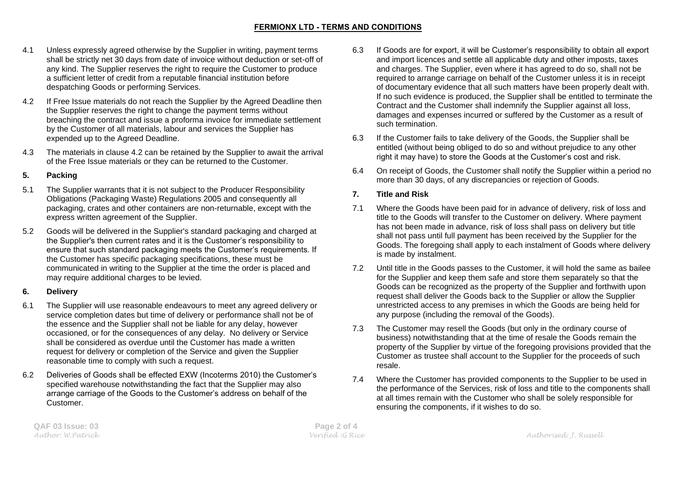## **FERMIONX LTD - TERMS AND CONDITIONS**

- 4.1 Unless expressly agreed otherwise by the Supplier in writing, payment terms shall be strictly net 30 days from date of invoice without deduction or set-off of any kind. The Supplier reserves the right to require the Customer to produce a sufficient letter of credit from a reputable financial institution before despatching Goods or performing Services.
- 4.2 If Free Issue materials do not reach the Supplier by the Agreed Deadline then the Supplier reserves the right to change the payment terms without breaching the contract and issue a proforma invoice for immediate settlement by the Customer of all materials, labour and services the Supplier has expended up to the Agreed Deadline.
- 4.3 The materials in clause 4.2 can be retained by the Supplier to await the arrival of the Free Issue materials or they can be returned to the Customer.

#### **5. Packing**

- 5.1 The Supplier warrants that it is not subject to the Producer Responsibility Obligations (Packaging Waste) Regulations 2005 and consequently all packaging, crates and other containers are non-returnable, except with the express written agreement of the Supplier.
- 5.2 Goods will be delivered in the Supplier's standard packaging and charged at the Supplier's then current rates and it is the Customer's responsibility to ensure that such standard packaging meets the Customer's requirements. If the Customer has specific packaging specifications, these must be communicated in writing to the Supplier at the time the order is placed and may require additional charges to be levied.

## **6. Delivery**

- 6.1 The Supplier will use reasonable endeavours to meet any agreed delivery or service completion dates but time of delivery or performance shall not be of the essence and the Supplier shall not be liable for any delay, however occasioned, or for the consequences of any delay. No delivery or Service shall be considered as overdue until the Customer has made a written request for delivery or completion of the Service and given the Supplier reasonable time to comply with such a request.
- 6.2 Deliveries of Goods shall be effected EXW (Incoterms 2010) the Customer's specified warehouse notwithstanding the fact that the Supplier may also arrange carriage of the Goods to the Customer's address on behalf of the **Customer**
- 6.3 If Goods are for export, it will be Customer's responsibility to obtain all export and import licences and settle all applicable duty and other imposts, taxes and charges. The Supplier, even where it has agreed to do so, shall not be required to arrange carriage on behalf of the Customer unless it is in receipt of documentary evidence that all such matters have been properly dealt with. If no such evidence is produced, the Supplier shall be entitled to terminate the Contract and the Customer shall indemnify the Supplier against all loss, damages and expenses incurred or suffered by the Customer as a result of such termination.
- 6.3 If the Customer fails to take delivery of the Goods, the Supplier shall be entitled (without being obliged to do so and without prejudice to any other right it may have) to store the Goods at the Customer's cost and risk.
- 6.4 On receipt of Goods, the Customer shall notify the Supplier within a period no more than 30 days, of any discrepancies or rejection of Goods.

## **7. Title and Risk**

- 7.1 Where the Goods have been paid for in advance of delivery, risk of loss and title to the Goods will transfer to the Customer on delivery. Where payment has not been made in advance, risk of loss shall pass on delivery but title shall not pass until full payment has been received by the Supplier for the Goods. The foregoing shall apply to each instalment of Goods where delivery is made by instalment.
- 7.2 Until title in the Goods passes to the Customer, it will hold the same as bailee for the Supplier and keep them safe and store them separately so that the Goods can be recognized as the property of the Supplier and forthwith upon request shall deliver the Goods back to the Supplier or allow the Supplier unrestricted access to any premises in which the Goods are being held for any purpose (including the removal of the Goods).
- 7.3 The Customer may resell the Goods (but only in the ordinary course of business) notwithstanding that at the time of resale the Goods remain the property of the Supplier by virtue of the foregoing provisions provided that the Customer as trustee shall account to the Supplier for the proceeds of such resale.
- 7.4 Where the Customer has provided components to the Supplier to be used in the performance of the Services, risk of loss and title to the components shall at all times remain with the Customer who shall be solely responsible for ensuring the components, if it wishes to do so.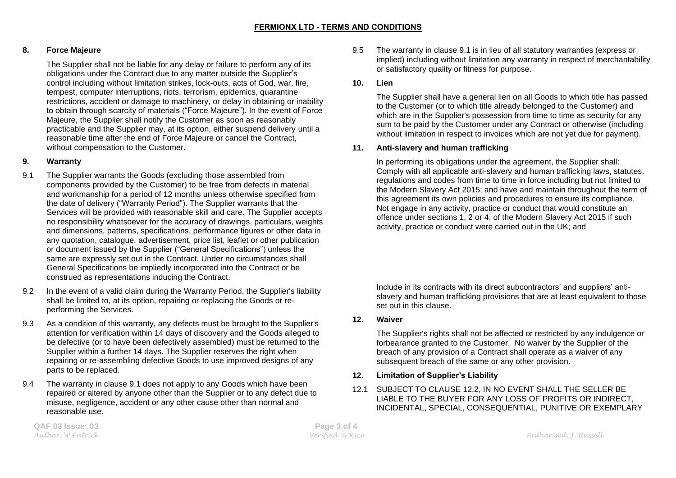## **8. Force Majeure**

The Supplier shall not be liable for any delay or failure to perform any of its obligations under the Contract due to any matter outside the Supplier's control including without limitation strikes, lock-outs, acts of God, war, fire, tempest, computer interruptions, riots, terrorism, epidemics, quarantine restrictions, accident or damage to machinery, or delay in obtaining or inability to obtain through scarcity of materials ("Force Majeure"). In the event of Force Majeure, the Supplier shall notify the Customer as soon as reasonably practicable and the Supplier may, at its option, either suspend delivery until a reasonable time after the end of Force Majeure or cancel the Contract, without compensation to the Customer.

#### **9. Warranty**

- 9.1 The Supplier warrants the Goods (excluding those assembled from components provided by the Customer) to be free from defects in material and workmanship for a period of 12 months unless otherwise specified from the date of delivery ("Warranty Period"). The Supplier warrants that the Services will be provided with reasonable skill and care. The Supplier accepts no responsibility whatsoever for the accuracy of drawings, particulars, weights and dimensions, patterns, specifications, performance figures or other data in any quotation, catalogue, advertisement, price list, leaflet or other publication or document issued by the Supplier ("General Specifications") unless the same are expressly set out in the Contract. Under no circumstances shall General Specifications be impliedly incorporated into the Contract or be construed as representations inducing the Contract.
- 9.2 In the event of a valid claim during the Warranty Period, the Supplier's liability shall be limited to, at its option, repairing or replacing the Goods or reperforming the Services.
- 9.3 As a condition of this warranty, any defects must be brought to the Supplier's attention for verification within 14 days of discovery and the Goods alleged to be defective (or to have been defectively assembled) must be returned to the Supplier within a further 14 days. The Supplier reserves the right when repairing or re-assembling defective Goods to use improved designs of any parts to be replaced.
- 9.4 The warranty in clause 9.1 does not apply to any Goods which have been repaired or altered by anyone other than the Supplier or to any defect due to misuse, negligence, accident or any other cause other than normal and reasonable use.

9.5 The warranty in clause 9.1 is in lieu of all statutory warranties (express or implied) including without limitation any warranty in respect of merchantability or satisfactory quality or fitness for purpose.

#### **10. Lien**

The Supplier shall have a general lien on all Goods to which title has passed to the Customer (or to which title already belonged to the Customer) and which are in the Supplier's possession from time to time as security for any sum to be paid by the Customer under any Contract or otherwise (including without limitation in respect to invoices which are not yet due for payment).

#### **11. Anti-slavery and human trafficking**

In performing its obligations under the agreement, the Supplier shall: Comply with all applicable anti-slavery and human trafficking laws, statutes, regulations and codes from time to time in force including but not limited to the Modern Slavery Act 2015; and have and maintain throughout the term of this agreement its own policies and procedures to ensure its compliance. Not engage in any activity, practice or conduct that would constitute an offence under sections 1, 2 or 4, of the Modern Slavery Act 2015 if such activity, practice or conduct were carried out in the UK; and

Include in its contracts with its direct subcontractors' and suppliers' antislavery and human trafficking provisions that are at least equivalent to those set out in this clause.

## **12. Waiver**

The Supplier's rights shall not be affected or restricted by any indulgence or forbearance granted to the Customer. No waiver by the Supplier of the breach of any provision of a Contract shall operate as a waiver of any subsequent breach of the same or any other provision.

## **12. Limitation of Supplier's Liability**

12.1 SUBJECT TO CLAUSE 12.2, IN NO EVENT SHALL THE SELLER BE LIABLE TO THE BUYER FOR ANY LOSS OF PROFITS OR INDIRECT, INCIDENTAL, SPECIAL, CONSEQUENTIAL, PUNITIVE OR EXEMPLARY